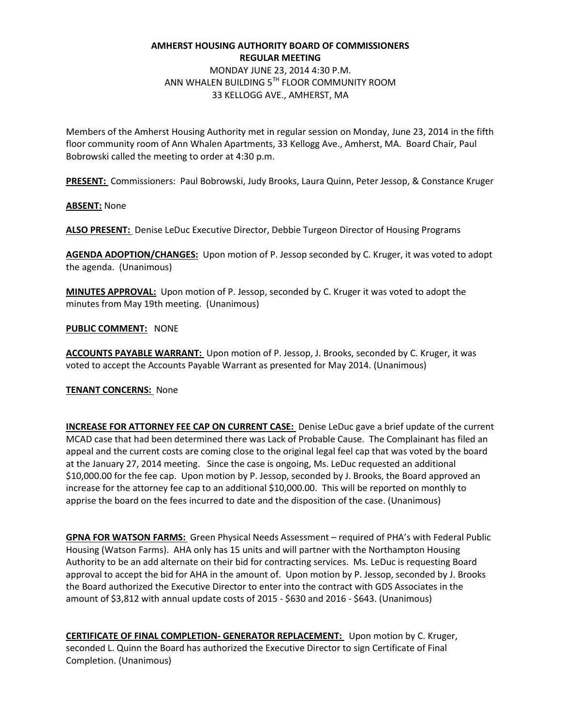# **AMHERST HOUSING AUTHORITY BOARD OF COMMISSIONERS REGULAR MEETING**

MONDAY JUNE 23, 2014 4:30 P.M. ANN WHALEN BUILDING 5TH FLOOR COMMUNITY ROOM 33 KELLOGG AVE., AMHERST, MA

Members of the Amherst Housing Authority met in regular session on Monday, June 23, 2014 in the fifth floor community room of Ann Whalen Apartments, 33 Kellogg Ave., Amherst, MA. Board Chair, Paul Bobrowski called the meeting to order at 4:30 p.m.

**PRESENT:** Commissioners: Paul Bobrowski, Judy Brooks, Laura Quinn, Peter Jessop, & Constance Kruger

**ABSENT:** None

**ALSO PRESENT:** Denise LeDuc Executive Director, Debbie Turgeon Director of Housing Programs

**AGENDA ADOPTION/CHANGES:** Upon motion of P. Jessop seconded by C. Kruger, it was voted to adopt the agenda. (Unanimous)

**MINUTES APPROVAL:** Upon motion of P. Jessop, seconded by C. Kruger it was voted to adopt the minutes from May 19th meeting. (Unanimous)

**PUBLIC COMMENT:** NONE

**ACCOUNTS PAYABLE WARRANT:** Upon motion of P. Jessop, J. Brooks, seconded by C. Kruger, it was voted to accept the Accounts Payable Warrant as presented for May 2014. (Unanimous)

# **TENANT CONCERNS:** None

**INCREASE FOR ATTORNEY FEE CAP ON CURRENT CASE:** Denise LeDuc gave a brief update of the current MCAD case that had been determined there was Lack of Probable Cause. The Complainant has filed an appeal and the current costs are coming close to the original legal feel cap that was voted by the board at the January 27, 2014 meeting. Since the case is ongoing, Ms. LeDuc requested an additional \$10,000.00 for the fee cap. Upon motion by P. Jessop, seconded by J. Brooks, the Board approved an increase for the attorney fee cap to an additional \$10,000.00. This will be reported on monthly to apprise the board on the fees incurred to date and the disposition of the case. (Unanimous)

**GPNA FOR WATSON FARMS:** Green Physical Needs Assessment – required of PHA's with Federal Public Housing (Watson Farms). AHA only has 15 units and will partner with the Northampton Housing Authority to be an add alternate on their bid for contracting services. Ms. LeDuc is requesting Board approval to accept the bid for AHA in the amount of. Upon motion by P. Jessop, seconded by J. Brooks the Board authorized the Executive Director to enter into the contract with GDS Associates in the amount of \$3,812 with annual update costs of 2015 - \$630 and 2016 - \$643. (Unanimous)

**CERTIFICATE OF FINAL COMPLETION- GENERATOR REPLACEMENT:** Upon motion by C. Kruger, seconded L. Quinn the Board has authorized the Executive Director to sign Certificate of Final Completion. (Unanimous)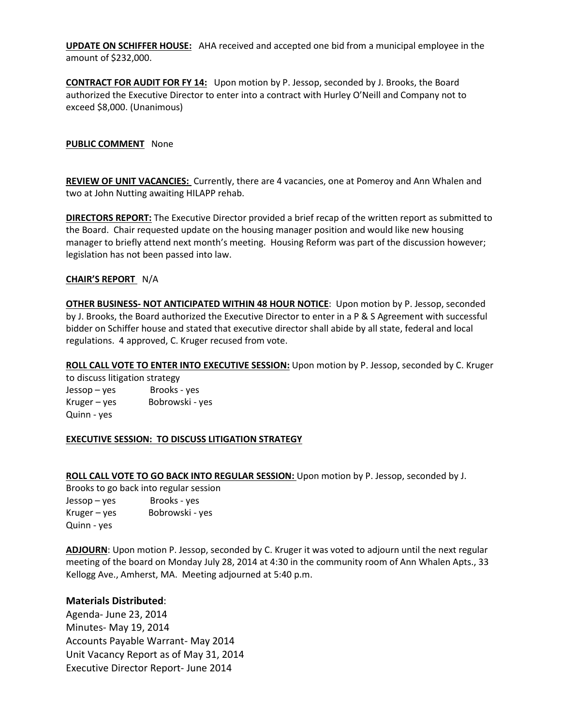**UPDATE ON SCHIFFER HOUSE:** AHA received and accepted one bid from a municipal employee in the amount of \$232,000.

**CONTRACT FOR AUDIT FOR FY 14:** Upon motion by P. Jessop, seconded by J. Brooks, the Board authorized the Executive Director to enter into a contract with Hurley O'Neill and Company not to exceed \$8,000. (Unanimous)

**PUBLIC COMMENT** None

**REVIEW OF UNIT VACANCIES:** Currently, there are 4 vacancies, one at Pomeroy and Ann Whalen and two at John Nutting awaiting HILAPP rehab.

**DIRECTORS REPORT:** The Executive Director provided a brief recap of the written report as submitted to the Board. Chair requested update on the housing manager position and would like new housing manager to briefly attend next month's meeting. Housing Reform was part of the discussion however; legislation has not been passed into law.

### **CHAIR'S REPORT** N/A

**OTHER BUSINESS- NOT ANTICIPATED WITHIN 48 HOUR NOTICE**: Upon motion by P. Jessop, seconded by J. Brooks, the Board authorized the Executive Director to enter in a P & S Agreement with successful bidder on Schiffer house and stated that executive director shall abide by all state, federal and local regulations. 4 approved, C. Kruger recused from vote.

**ROLL CALL VOTE TO ENTER INTO EXECUTIVE SESSION:** Upon motion by P. Jessop, seconded by C. Kruger to discuss litigation strategy

Jessop – yes Brooks - yes Kruger – yes Bobrowski - yes Quinn - yes

#### **EXECUTIVE SESSION: TO DISCUSS LITIGATION STRATEGY**

**ROLL CALL VOTE TO GO BACK INTO REGULAR SESSION:** Upon motion by P. Jessop, seconded by J.

Brooks to go back into regular session Jessop – yes Brooks - yes Kruger – yes Bobrowski - yes Quinn - yes

**ADJOURN**: Upon motion P. Jessop, seconded by C. Kruger it was voted to adjourn until the next regular meeting of the board on Monday July 28, 2014 at 4:30 in the community room of Ann Whalen Apts., 33 Kellogg Ave., Amherst, MA. Meeting adjourned at 5:40 p.m.

# **Materials Distributed**:

Agenda- June 23, 2014 Minutes- May 19, 2014 Accounts Payable Warrant- May 2014 Unit Vacancy Report as of May 31, 2014 Executive Director Report- June 2014